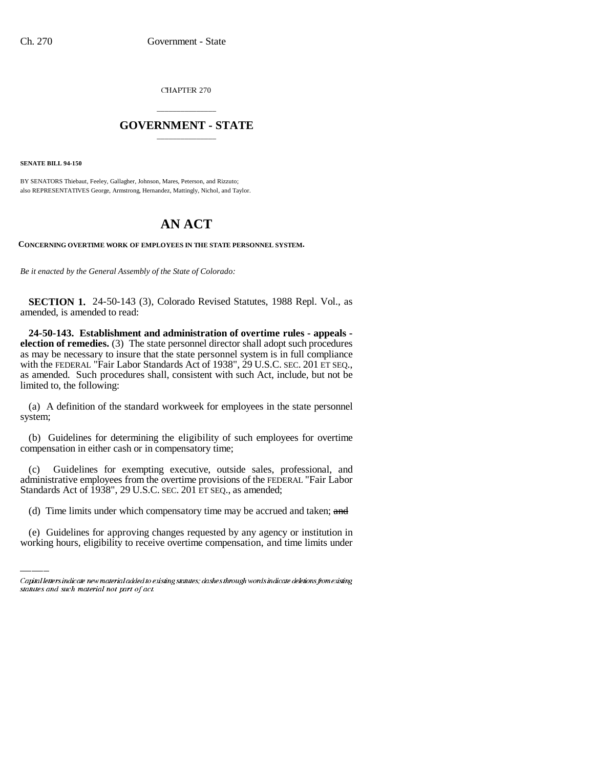CHAPTER 270

## \_\_\_\_\_\_\_\_\_\_\_\_\_\_\_ **GOVERNMENT - STATE** \_\_\_\_\_\_\_\_\_\_\_\_\_\_\_

**SENATE BILL 94-150**

BY SENATORS Thiebaut, Feeley, Gallagher, Johnson, Mares, Peterson, and Rizzuto; also REPRESENTATIVES George, Armstrong, Hernandez, Mattingly, Nichol, and Taylor.

## **AN ACT**

**CONCERNING OVERTIME WORK OF EMPLOYEES IN THE STATE PERSONNEL SYSTEM.**

*Be it enacted by the General Assembly of the State of Colorado:*

**SECTION 1.** 24-50-143 (3), Colorado Revised Statutes, 1988 Repl. Vol., as amended, is amended to read:

**24-50-143. Establishment and administration of overtime rules - appeals election of remedies.** (3) The state personnel director shall adopt such procedures as may be necessary to insure that the state personnel system is in full compliance with the FEDERAL "Fair Labor Standards Act of 1938", 29 U.S.C. SEC. 201 ET SEQ., as amended. Such procedures shall, consistent with such Act, include, but not be limited to, the following:

(a) A definition of the standard workweek for employees in the state personnel system;

(b) Guidelines for determining the eligibility of such employees for overtime compensation in either cash or in compensatory time;

Standards Act of 1938", 29 U.S.C. SEC. 201 ET SEQ., as amended; (c) Guidelines for exempting executive, outside sales, professional, and administrative employees from the overtime provisions of the FEDERAL "Fair Labor

(d) Time limits under which compensatory time may be accrued and taken; and

(e) Guidelines for approving changes requested by any agency or institution in working hours, eligibility to receive overtime compensation, and time limits under

Capital letters indicate new material added to existing statutes; dashes through words indicate deletions from existing statutes and such material not part of act.